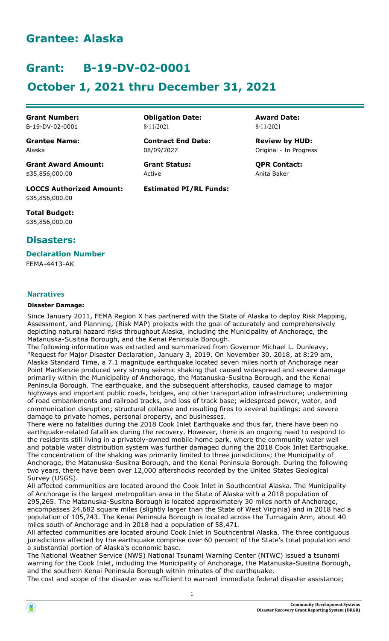# **Grantee: Alaska**

# **Grant: B-19-DV-02-0001**

# **October 1, 2021 thru December 31, 2021**

**Grant Award Amount: Grant Status: QPR Contact:** \$35,856,000.00 Active Anita Baker

**LOCCS Authorized Amount: Estimated PI/RL Funds:** \$35,856,000.00

**Total Budget:** \$35,856,000.00

# **Disasters:**

**Declaration Number** FEMA-4413-AK

# **Narratives**

### **Disaster Damage:**

Since January 2011, FEMA Region X has partnered with the State of Alaska to deploy Risk Mapping, Assessment, and Planning, (Risk MAP) projects with the goal of accurately and comprehensively depicting natural hazard risks throughout Alaska, including the Municipality of Anchorage, the Matanuska-Susitna Borough, and the Kenai Peninsula Borough.

The following information was extracted and summarized from Governor Michael L. Dunleavy, "Request for Major Disaster Declaration, January 3, 2019. On November 30, 2018, at 8:29 am, Alaska Standard Time, a 7.1 magnitude earthquake located seven miles north of Anchorage near Point MacKenzie produced very strong seismic shaking that caused widespread and severe damage primarily within the Municipality of Anchorage, the Matanuska-Susitna Borough, and the Kenai Peninsula Borough. The earthquake, and the subsequent aftershocks, caused damage to major highways and important public roads, bridges, and other transportation infrastructure; undermining of road embankments and railroad tracks, and loss of track base; widespread power, water, and communication disruption; structural collapse and resulting fires to several buildings; and severe damage to private homes, personal property, and businesses.

There were no fatalities during the 2018 Cook Inlet Earthquake and thus far, there have been no earthquake-related fatalities during the recovery. However, there is an ongoing need to respond to the residents still living in a privately-owned mobile home park, where the community water well and potable water distribution system was further damaged during the 2018 Cook Inlet Earthquake. The concentration of the shaking was primarily limited to three jurisdictions; the Municipality of Anchorage, the Matanuska-Susitna Borough, and the Kenai Peninsula Borough. During the following two years, there have been over 12,000 aftershocks recorded by the United States Geological Survey (USGS).

All affected communities are located around the Cook Inlet in Southcentral Alaska. The Municipality of Anchorage is the largest metropolitan area in the State of Alaska with a 2018 population of 295,265. The Matanuska-Susitna Borough is located approximately 30 miles north of Anchorage, encompasses 24,682 square miles (slightly larger than the State of West Virginia) and in 2018 had a population of 105,743. The Kenai Peninsula Borough is located across the Turnagain Arm, about 40 miles south of Anchorage and in 2018 had a population of 58,471.

All affected communities are located around Cook Inlet in Southcentral Alaska. The three contiguous jurisdictions affected by the earthquake comprise over 60 percent of the State's total population and a substantial portion of Alaska's economic base.

The National Weather Service (NWS) National Tsunami Warning Center (NTWC) issued a tsunami warning for the Cook Inlet, including the Municipality of Anchorage, the Matanuska-Susitna Borough, and the southern Kenai Peninsula Borough within minutes of the earthquake.

The cost and scope of the disaster was sufficient to warrant immediate federal disaster assistance;



**Grant Number: Obligation Date: Award Date:** B-19-DV-02-0001 8/11/2021 8/11/2021

**Grantee Name: Contract End Date: Review by HUD:** Alaska 08/09/2027 Original - In Progress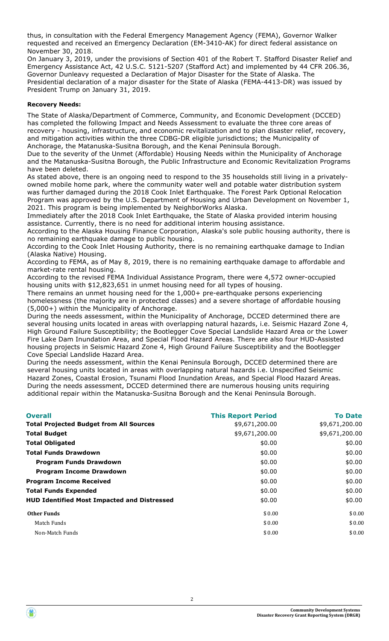thus, in consultation with the Federal Emergency Management Agency (FEMA), Governor Walker requested and received an Emergency Declaration (EM-3410-AK) for direct federal assistance on November 30, 2018.

On January 3, 2019, under the provisions of Section 401 of the Robert T. Stafford Disaster Relief and Emergency Assistance Act, 42 U.S.C. 5121-5207 (Stafford Act) and implemented by 44 CFR 206.36, Governor Dunleavy requested a Declaration of Major Disaster for the State of Alaska. The Presidential declaration of a major disaster for the State of Alaska (FEMA-4413-DR) was issued by President Trump on January 31, 2019.

### **Recovery Needs:**

The State of Alaska/Department of Commerce, Community, and Economic Development (DCCED) has completed the following Impact and Needs Assessment to evaluate the three core areas of recovery - housing, infrastructure, and economic revitalization and to plan disaster relief, recovery, and mitigation activities within the three CDBG-DR eligible jurisdictions; the Municipality of Anchorage, the Matanuska-Susitna Borough, and the Kenai Peninsula Borough.

Due to the severity of the Unmet (Affordable) Housing Needs within the Municipality of Anchorage and the Matanuska-Susitna Borough, the Public Infrastructure and Economic Revitalization Programs have been deleted.

As stated above, there is an ongoing need to respond to the 35 households still living in a privatelyowned mobile home park, where the community water well and potable water distribution system was further damaged during the 2018 Cook Inlet Earthquake. The Forest Park Optional Relocation Program was approved by the U.S. Department of Housing and Urban Development on November 1, 2021. This program is being implemented by NeighborWorks Alaska.

Immediately after the 2018 Cook Inlet Earthquake, the State of Alaska provided interim housing assistance. Currently, there is no need for additional interim housing assistance.

According to the Alaska Housing Finance Corporation, Alaska's sole public housing authority, there is no remaining earthquake damage to public housing.

According to the Cook Inlet Housing Authority, there is no remaining earthquake damage to Indian (Alaska Native) Housing.

According to FEMA, as of May 8, 2019, there is no remaining earthquake damage to affordable and market-rate rental housing.

According to the revised FEMA Individual Assistance Program, there were 4,572 owner-occupied housing units with \$12,823,651 in unmet housing need for all types of housing.

There remains an unmet housing need for the 1,000+ pre-earthquake persons experiencing homelessness (the majority are in protected classes) and a severe shortage of affordable housing (5,000+) within the Municipality of Anchorage.

During the needs assessment, within the Municipality of Anchorage, DCCED determined there are several housing units located in areas with overlapping natural hazards, i.e. Seismic Hazard Zone 4, High Ground Failure Susceptibility; the Bootlegger Cove Special Landslide Hazard Area or the Lower Fire Lake Dam Inundation Area, and Special Flood Hazard Areas. There are also four HUD-Assisted housing projects in Seismic Hazard Zone 4, High Ground Failure Susceptibility and the Bootlegger Cove Special Landslide Hazard Area.

During the needs assessment, within the Kenai Peninsula Borough, DCCED determined there are several housing units located in areas with overlapping natural hazards i.e. Unspecified Seismic Hazard Zones, Coastal Erosion, Tsunami Flood Inundation Areas, and Special Flood Hazard Areas. During the needs assessment, DCCED determined there are numerous housing units requiring additional repair within the Matanuska-Susitna Borough and the Kenai Peninsula Borough.

| <b>Overall</b>                                     | <b>This Report Period</b> | <b>To Date</b> |
|----------------------------------------------------|---------------------------|----------------|
| <b>Total Projected Budget from All Sources</b>     | \$9,671,200.00            | \$9,671,200.00 |
| <b>Total Budget</b>                                | \$9,671,200.00            | \$9,671,200.00 |
| <b>Total Obligated</b>                             | \$0.00                    | \$0.00         |
| <b>Total Funds Drawdown</b>                        | \$0.00                    | \$0.00         |
| <b>Program Funds Drawdown</b>                      | \$0.00                    | \$0.00         |
| <b>Program Income Drawdown</b>                     | \$0.00                    | \$0.00         |
| <b>Program Income Received</b>                     | \$0.00                    | \$0.00         |
| <b>Total Funds Expended</b>                        | \$0.00                    | \$0.00         |
| <b>HUD Identified Most Impacted and Distressed</b> | \$0.00                    | \$0.00         |
| <b>Other Funds</b>                                 | \$0.00                    | \$0.00         |
| Match Funds                                        | \$0.00                    | \$0.00         |
| Non-Match Funds                                    | \$0.00                    | \$0.00         |

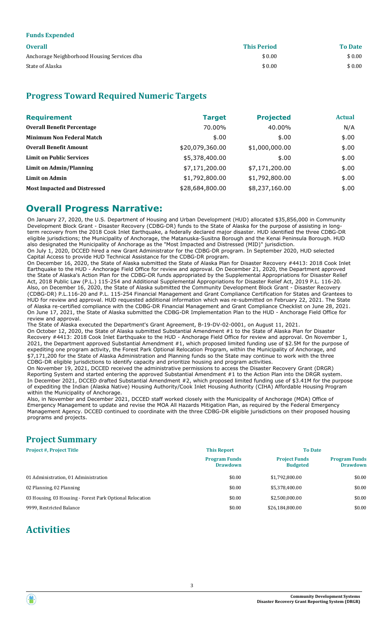| <i>r</i> ando <i>mirpondou</i>              |                    |                |
|---------------------------------------------|--------------------|----------------|
| <b>Overall</b>                              | <b>This Period</b> | <b>To Date</b> |
| Anchorage Neighborhood Housing Services dba | \$0.00             | \$0.00         |
| State of Alaska                             | \$0.00             | \$0.00         |

# **Progress Toward Required Numeric Targets**

| <b>Requirement</b>                  | <b>Target</b>   | <b>Projected</b> | <b>Actual</b> |
|-------------------------------------|-----------------|------------------|---------------|
| <b>Overall Benefit Percentage</b>   | 70.00%          | 40.00%           | N/A           |
| <b>Minimum Non Federal Match</b>    | \$.00           | \$.00            | \$.00         |
| <b>Overall Benefit Amount</b>       | \$20,079,360.00 | \$1,000,000.00   | \$.00         |
| <b>Limit on Public Services</b>     | \$5,378,400.00  | \$.00            | \$.00         |
| Limit on Admin/Planning             | \$7,171,200.00  | \$7,171,200.00   | \$.00         |
| <b>Limit on Admin</b>               | \$1,792,800.00  | \$1,792,800.00   | \$.00         |
| <b>Most Impacted and Distressed</b> | \$28,684,800.00 | \$8,237,160.00   | \$.00         |

# **Overall Progress Narrative:**

**Funds Expended**

On January 27, 2020, the U.S. Department of Housing and Urban Development (HUD) allocated \$35,856,000 in Community Development Block Grant - Disaster Recovery (CDBG-DR) funds to the State of Alaska for the purpose of assisting in longterm recovery from the 2018 Cook Inlet Earthquake, a federally declared major disaster. HUD identified the three CDBG-DR eligible jurisdictions; the Municipality of Anchorage, the Matanuska-Susitna Borough and the Kenai Peninsula Borough. HUD also designated the Municipality of Anchorage as the "Most Impacted and Distressed (MID)" jurisdiction.

On July 1, 2020, DCCED hired a new Grant Administrator for the CDBG-DR program. In September 2020, HUD selected Capital Access to provide HUD Technical Assistance for the CDBG-DR program.

On December 16, 2020, the State of Alaska submitted the State of Alaska Plan for Disaster Recovery #4413: 2018 Cook Inlet Earthquake to the HUD - Anchorage Field Office for review and approval. On December 21, 2020, the Department approved the State of Alaska's Action Plan for the CDBG-DR funds appropriated by the Supplemental Appropriations for Disaster Relief Act, 2018 Public Law (P.L.) 115-254 and Additional Supplemental Appropriations for Disaster Relief Act, 2019 P.L. 116-20. Also, on December 16, 2020, the State of Alaska submitted the Community Development Block Grant - Disaster Recovery (CDBG-DR) P.L.116-20 and P.L. 115-254 Financial Management and Grant Compliance Certification for States and Grantees to HUD for review and approval. HUD requested additional information which was re-submitted on February 22, 2021. The State of Alaska re-certified compliance with the CDBG-DR Financial Management and Grant Compliance Checklist on June 28, 2021. On June 17, 2021, the State of Alaska submitted the CDBG-DR Implementation Plan to the HUD - Anchorage Field Office for review and approval.

The State of Alaska executed the Department's Grant Agreement, B-19-DV-02-0001, on August 11, 2021. On October 12, 2020, the State of Alaska submitted Substantial Amendment #1 to the State of Alaska Plan for Disaster Recovery #4413: 2018 Cook Inlet Earthquake to the HUD - Anchorage Field Office for review and approval. On November 1, 2021, the Department approved Substantial Amendment #1, which proposed limited funding use of \$2.5M for the purpose of expediting one program activity, the Forest Park Optional Relocation Program, within the Municipality of Anchorage, and \$7,171,200 for the State of Alaska Administration and Planning funds so the State may continue to work with the three CDBG-DR eligible jurisdictions to identify capacity and prioritize housing and program activities.

On November 19, 2021, DCCED received the administrative permissions to access the Disaster Recovery Grant (DRGR) Reporting System and started entering the approved Substantial Amendment #1 to the Action Plan into the DRGR system. In December 2021, DCCED drafted Substantial Amendment #2, which proposed limited funding use of \$3.41M for the purpose of expediting the Indian (Alaska Native) Housing Authority/Cook Inlet Housing Authority (CIHA) Affordable Housing Program within the Municipality of Anchorage.

Also, in November and December 2021, DCCED staff worked closely with the Municipality of Anchorage (MOA) Office of Emergency Management to update and revise the MOA All Hazards Mitigation Plan, as required by the Federal Emergency Management Agency. DCCED continued to coordinate with the three CDBG-DR eligible jurisdictions on their proposed housing programs and projects.

# **Project Summary**

| <b>Project #, Project Title</b>                          | <b>This Report</b>                      | <b>To Date</b>                          |                                         |
|----------------------------------------------------------|-----------------------------------------|-----------------------------------------|-----------------------------------------|
|                                                          | <b>Program Funds</b><br><b>Drawdown</b> | <b>Project Funds</b><br><b>Budgeted</b> | <b>Program Funds</b><br><b>Drawdown</b> |
| 01 Administration, 01 Administration                     | \$0.00                                  | \$1.792.800.00                          | \$0.00                                  |
| 02 Planning, 02 Planning                                 | \$0.00                                  | \$5.378.400.00                          | \$0.00                                  |
| 03 Housing, 03 Housing - Forest Park Optional Relocation | \$0.00                                  | \$2.500.000.00                          | \$0.00                                  |
| 9999, Restricted Balance                                 | \$0.00                                  | \$26,184,800.00                         | \$0.00                                  |

# **Activities**

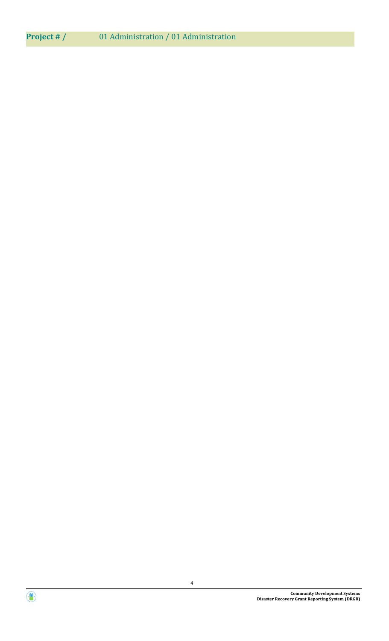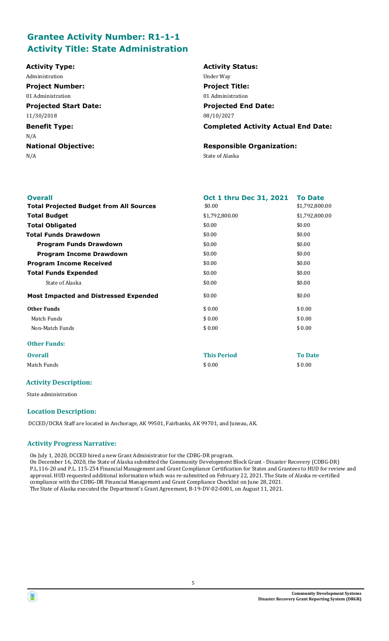# **Grantee Activity Number: R1-1-1 Activity Title: State Administration**

| <b>Activity Type:</b>        | <b>Activity Status:</b>                    |
|------------------------------|--------------------------------------------|
| Administration               | Under Way                                  |
| <b>Project Number:</b>       | <b>Project Title:</b>                      |
| 01 Administration            | 01 Administration                          |
| <b>Projected Start Date:</b> | <b>Projected End Date:</b>                 |
| 11/30/2018                   | 08/10/2027                                 |
| <b>Benefit Type:</b>         | <b>Completed Activity Actual End Date:</b> |
| N/A                          |                                            |
| <b>National Objective:</b>   | <b>Responsible Organization:</b>           |
| N/A                          | State of Alaska                            |
|                              |                                            |
|                              |                                            |

| <b>Overall</b>                                 | Oct 1 thru Dec 31, 2021 | <b>To Date</b> |
|------------------------------------------------|-------------------------|----------------|
| <b>Total Projected Budget from All Sources</b> | \$0.00                  | \$1,792,800.00 |
| <b>Total Budget</b>                            | \$1,792,800.00          | \$1,792,800.00 |
| <b>Total Obligated</b>                         | \$0.00                  | \$0.00         |
| <b>Total Funds Drawdown</b>                    | \$0.00                  | \$0.00         |
| <b>Program Funds Drawdown</b>                  | \$0.00                  | \$0.00         |
| <b>Program Income Drawdown</b>                 | \$0.00                  | \$0.00         |
| <b>Program Income Received</b>                 | \$0.00                  | \$0.00         |
| <b>Total Funds Expended</b>                    | \$0.00                  | \$0.00         |
| State of Alaska                                | \$0.00                  | \$0.00         |
| <b>Most Impacted and Distressed Expended</b>   | \$0.00                  | \$0.00         |
| <b>Other Funds</b>                             | \$0.00                  | \$0.00         |
| Match Funds                                    | \$0.00                  | \$0.00         |
| Non-Match Funds                                | \$0.00                  | \$0.00         |
| <b>Other Funds:</b>                            |                         |                |
| <b>Overall</b>                                 | <b>This Period</b>      | <b>To Date</b> |
| Match Funds                                    | \$0.00                  | \$0.00         |

# **Activity Description:**

State administration

# **Location Description:**

DCCED/DCRA Staff are located in Anchorage, AK 99501, Fairbanks, AK 99701, and Juneau, AK.

### **Activity Progress Narrative:**

On July 1, 2020, DCCED hired a new Grant Administrator for the CDBG-DR program.

On December 16, 2020, the State of Alaska submitted the Community Development Block Grant - Disaster Recovery (CDBG-DR) P.L.116-20 and P.L. 115-254 Financial Management and Grant Compliance Certification for States and Grantees to HUD for review and approval. HUD requested additional information which was re-submitted on February 22, 2021. The State of Alaska re-certified compliance with the CDBG-DR Financial Management and Grant Compliance Checklist on June 28, 2021. The State of Alaska executed the Department's Grant Agreement, B-19-DV-02-0001, on August 11, 2021.

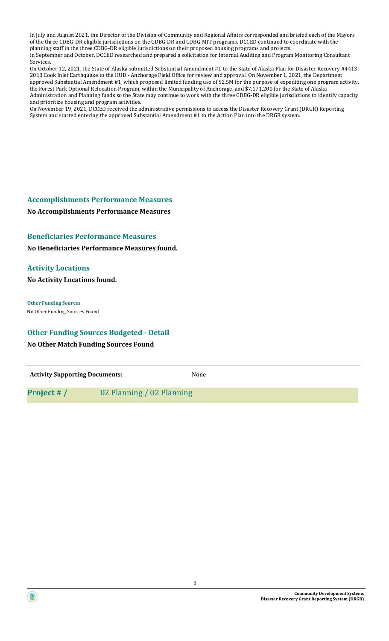In July and August 2021, the Director of the Division of Community and Regional Affairs corresponded and briefed each of the Mayors of the three CDBG-DR eligible jurisdictions on the CDBG-DR and CDBG-MIT programs. DCCED continued to coordinate with the planning staff in the three CDBG-DR eligible jurisdictions on their proposed housing programs and projects. In September and October, DCCED researched and prepared a solicitation for Internal Auditing and Program Monitoring Consultant Services.

On October 12, 2021, the State of Alaska submitted Substantial Amendment #1 to the State of Alaska Plan for Disaster Recovery #4413: 2018 Cook Inlet Earthquake to the HUD - Anchorage Field Office for review and approval. On November 1, 2021, the Department approved Substantial Amendment #1, which proposed limited funding use of \$2.5M for the purpose of expediting one program activity, the Forest Park Optional Relocation Program, within the Municipality of Anchorage, and \$7,171,200 for the State of Alaska Administration and Planning funds so the State may continue to work with the three CDBG-DR eligible jurisdictions to identify capacity and prioritize housing and program activities.

On November 19, 2021, DCCED received the administrative permissions to access the Disaster Recovery Grant (DRGR) Reporting System and started entering the approved Substantial Amendment #1 to the Action Plan into the DRGR system.

# **Accomplishments Performance Measures**

**No Accomplishments Performance Measures** 

# **Beneficiaries Performance Measures**

**No Beneficiaries Performance Measures found.**

# **Activity Locations**

**No Activity Locations found.**

**Other Funding Sources** No Other Funding Sources Found

# **Other Funding Sources Budgeted - Detail**

# **No Other Match Funding Sources Found**

**Activity Supporting Documents:** None

**Project # /** 02 Planning / 02 Planning

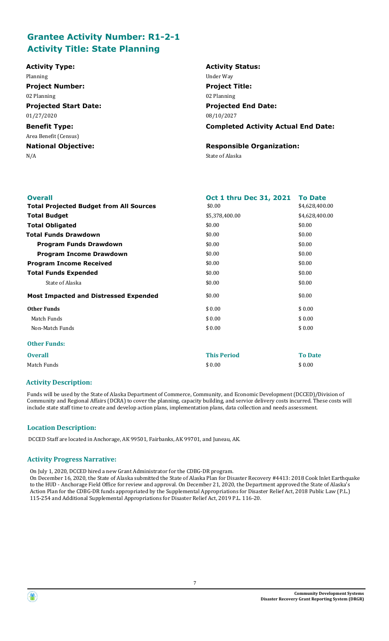# **Grantee Activity Number: R1-2-1 Activity Title: State Planning**

| <b>Activity Type:</b>        | <b>Activity Status:</b>                    |
|------------------------------|--------------------------------------------|
| Planning                     | Under Way                                  |
| <b>Project Number:</b>       | <b>Project Title:</b>                      |
| 02 Planning                  | 02 Planning                                |
| <b>Projected Start Date:</b> | <b>Projected End Date:</b>                 |
| 01/27/2020                   | 08/10/2027                                 |
| <b>Benefit Type:</b>         | <b>Completed Activity Actual End Date:</b> |
| Area Benefit (Census)        |                                            |
| <b>National Objective:</b>   | <b>Responsible Organization:</b>           |
| N/A                          | State of Alaska                            |
|                              |                                            |

| <b>Overall</b>                                 | <b>Oct 1 thru Dec 31, 2021</b> | <b>To Date</b> |
|------------------------------------------------|--------------------------------|----------------|
| <b>Total Projected Budget from All Sources</b> | \$0.00                         | \$4,628,400.00 |
| <b>Total Budget</b>                            | \$5,378,400.00                 | \$4,628,400.00 |
| <b>Total Obligated</b>                         | \$0.00                         | \$0.00         |
| Total Funds Drawdown                           | \$0.00                         | \$0.00         |
| Program Funds Drawdown                         | \$0.00                         | \$0.00         |
| <b>Program Income Drawdown</b>                 | \$0.00                         | \$0.00         |
| <b>Program Income Received</b>                 | \$0.00                         | \$0.00         |
| <b>Total Funds Expended</b>                    | \$0.00                         | \$0.00         |
| State of Alaska                                | \$0.00                         | \$0.00         |
| <b>Most Impacted and Distressed Expended</b>   | \$0.00                         | \$0.00         |
| <b>Other Funds</b>                             | \$0.00                         | \$0.00         |
| Match Funds                                    | \$0.00                         | \$0.00         |
| Non-Match Funds                                | \$0.00                         | \$0.00         |
| <b>Other Funds:</b>                            |                                |                |
| <b>Overall</b>                                 | <b>This Period</b>             | <b>To Date</b> |
| Match Funds                                    | \$0.00                         | \$0.00         |

### **Activity Description:**

Funds will be used by the State of Alaska Department of Commerce, Community, and Economic Development (DCCED)/Division of Community and Regional Affairs (DCRA) to cover the planning, capacity building, and service delivery costs incurred. These costs will include state staff time to create and develop action plans, implementation plans, data collection and needs assessment.

# **Location Description:**

DCCED Staff are located in Anchorage, AK 99501, Fairbanks, AK 99701, and Juneau, AK.

### **Activity Progress Narrative:**

On July 1, 2020, DCCED hired a new Grant Administrator for the CDBG-DR program.

On December 16, 2020, the State of Alaska submitted the State of Alaska Plan for Disaster Recovery #4413: 2018 Cook Inlet Earthquake to the HUD - Anchorage Field Office for review and approval. On December 21, 2020, the Department approved the State of Alaska's Action Plan for the CDBG-DR funds appropriated by the Supplemental Appropriations for Disaster Relief Act, 2018 Public Law (P.L.) 115-254 and Additional Supplemental Appropriations for Disaster Relief Act, 2019 P.L. 116-20.

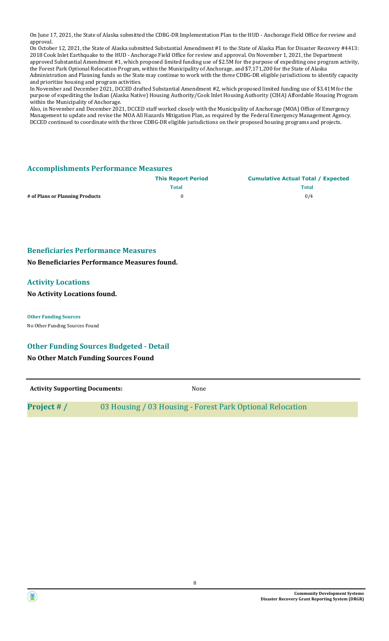On June 17, 2021, the State of Alaska submitted the CDBG-DR Implementation Plan to the HUD - Anchorage Field Office for review and approval.

On October 12, 2021, the State of Alaska submitted Substantial Amendment #1 to the State of Alaska Plan for Disaster Recovery #4413: 2018 Cook Inlet Earthquake to the HUD - Anchorage Field Office for review and approval. On November 1, 2021, the Department approved Substantial Amendment #1, which proposed limited funding use of \$2.5M for the purpose of expediting one program activity, the Forest Park Optional Relocation Program, within the Municipality of Anchorage, and \$7,171,200 for the State of Alaska Administration and Planning funds so the State may continue to work with the three CDBG-DR eligible jurisdictions to identify capacity and prioritize housing and program activities.

In November and December 2021, DCCED drafted Substantial Amendment #2, which proposed limited funding use of \$3.41M for the purpose of expediting the Indian (Alaska Native) Housing Authority/Cook Inlet Housing Authority (CIHA) Affordable Housing Program within the Municipality of Anchorage.

Also, in November and December 2021, DCCED staff worked closely with the Municipality of Anchorage (MOA) Office of Emergency Management to update and revise the MOA All Hazards Mitigation Plan, as required by the Federal Emergency Management Agency. DCCED continued to coordinate with the three CDBG-DR eligible jurisdictions on their proposed housing programs and projects.

# **Accomplishments Performance Measures**

|                                 | <b>This Report Period</b> | <b>Cumulative Actual Total / Expected</b> |
|---------------------------------|---------------------------|-------------------------------------------|
|                                 | <b>Total</b>              | <b>Total</b>                              |
| # of Plans or Planning Products |                           | 0/4                                       |

# **Beneficiaries Performance Measures**

**No Beneficiaries Performance Measures found.**

# **Activity Locations**

### **No Activity Locations found.**

**Other Funding Sources**

No Other Funding Sources Found

### **Other Funding Sources Budgeted - Detail**

# **No Other Match Funding Sources Found**

| <b>Activity Supporting Documents:</b> | None                                                      |
|---------------------------------------|-----------------------------------------------------------|
| Project # /                           | 03 Housing / 03 Housing - Forest Park Optional Relocation |

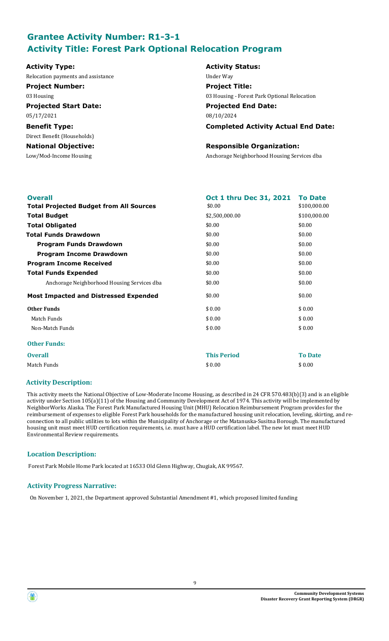# **Grantee Activity Number: R1-3-1 Activity Title: Forest Park Optional Relocation Program**

Relocation payments and assistance Under Way

**Projected Start Date: Projected End Date:**

Direct Benefit (Households)

# **Activity Type: Activity Status: Project Number: Project Title:**

03 Housing 03 Housing - Forest Park Optional Relocation

05/17/2021 08/10/2024

**Benefit Type: Completed Activity Actual End Date:**

# **National Objective: Responsible Organization:**

Low/Mod-Income Housing Anchorage Neighborhood Housing Services dba

| <b>Overall</b>                                 | Oct 1 thru Dec 31, 2021 | <b>To Date</b> |
|------------------------------------------------|-------------------------|----------------|
| <b>Total Projected Budget from All Sources</b> | \$0.00                  | \$100,000.00   |
| <b>Total Budget</b>                            | \$2,500,000.00          | \$100,000.00   |
| <b>Total Obligated</b>                         | \$0.00                  | \$0.00         |
| <b>Total Funds Drawdown</b>                    | \$0.00                  | \$0.00         |
| <b>Program Funds Drawdown</b>                  | \$0.00                  | \$0.00         |
| <b>Program Income Drawdown</b>                 | \$0.00                  | \$0.00         |
| <b>Program Income Received</b>                 | \$0.00                  | \$0.00         |
| <b>Total Funds Expended</b>                    | \$0.00                  | \$0.00         |
| Anchorage Neighborhood Housing Services dba    | \$0.00                  | \$0.00         |
| <b>Most Impacted and Distressed Expended</b>   | \$0.00                  | \$0.00         |
| <b>Other Funds</b>                             | \$0.00                  | \$0.00         |
| Match Funds                                    | \$0.00                  | \$0.00         |
| Non-Match Funds                                | \$0.00                  | \$0.00         |
| <b>Other Funds:</b>                            |                         |                |
| <b>Overall</b>                                 | <b>This Period</b>      | <b>To Date</b> |
| Match Funds                                    | \$0.00                  | \$0.00         |
|                                                |                         |                |

# **Activity Description:**

This activity meets the National Objective of Low-Moderate Income Housing, as described in 24 CFR 570.483(b)(3) and is an eligible activity under Section 105(a)(11) of the Housing and Community Development Act of 1974. This activity will be implemented by NeighborWorks Alaska. The Forest Park Manufactured Housing Unit (MHU) Relocation Reimbursement Program provides for the reimbursement of expenses to eligible Forest Park households for the manufactured housing unit relocation, leveling, skirting, and reconnection to all public utilities to lots within the Municipality of Anchorage or the Matanuska-Susitna Borough. The manufactured housing unit must meet HUD certification requirements, i.e. must have a HUD certification label. The new lot must meet HUD Environmental Review requirements.

# **Location Description:**

Forest Park Mobile Home Park located at 16533 Old Glenn Highway, Chugiak, AK 99567.

# **Activity Progress Narrative:**

On November 1, 2021, the Department approved Substantial Amendment #1, which proposed limited funding

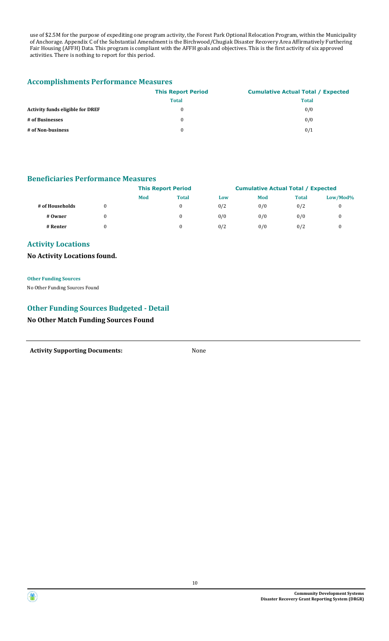use of \$2.5M for the purpose of expediting one program activity, the Forest Park Optional Relocation Program, within the Municipality of Anchorage. Appendix C of the Substantial Amendment is the Birchwood/Chugiak Disaster Recovery Area Affirmatively Furthering Fair Housing (AFFH) Data. This program is compliant with the AFFH goals and objectives. This is the first activity of six approved activities. There is nothing to report for this period.

# **Accomplishments Performance Measures**

|                                         | <b>This Report Period</b> | <b>Cumulative Actual Total / Expected</b> |
|-----------------------------------------|---------------------------|-------------------------------------------|
|                                         | <b>Total</b>              | <b>Total</b>                              |
| <b>Activity funds eligible for DREF</b> | 0                         | 0/0                                       |
| # of Businesses                         | 0                         | 0/0                                       |
| # of Non-business                       | 0                         | 0/1                                       |

# **Beneficiaries Performance Measures**

|                 |   | <b>This Report Period</b> |              |     | <b>Cumulative Actual Total / Expected</b> |              |             |
|-----------------|---|---------------------------|--------------|-----|-------------------------------------------|--------------|-------------|
|                 |   | Mod                       | <b>Total</b> | Low | Mod                                       | <b>Total</b> | $Low/Mod\%$ |
| # of Households |   |                           |              | 0/2 | 0/0                                       | 0/2          |             |
| # Owner         | 0 |                           |              | 0/0 | 0/0                                       | 0/0          |             |
| # Renter        |   |                           |              | 0/2 | 0/0                                       | 0/2          |             |

# **Activity Locations**

# **No Activity Locations found.**

**Other Funding Sources** No Other Funding Sources Found

# **Other Funding Sources Budgeted - Detail**

**No Other Match Funding Sources Found**

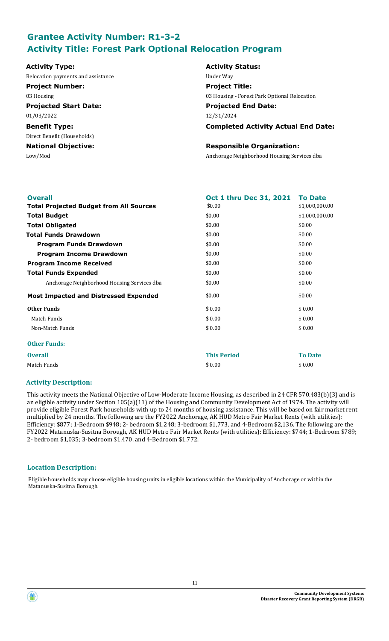# **Grantee Activity Number: R1-3-2 Activity Title: Forest Park Optional Relocation Program**

Relocation payments and assistance **Example 2018** Under Way

**Project Number: Project Title:**

**Projected Start Date: Projected End Date:** 01/03/2022 12/31/2024

Direct Benefit (Households)

# **Activity Type: Activity Status:** 03 Housing 03 Housing - Forest Park Optional Relocation

**Benefit Type: Completed Activity Actual End Date:**

# **National Objective: Responsible Organization:**

Low/Mod Anchorage Neighborhood Housing Services dba

| <b>Overall</b>                                 | <b>Oct 1 thru Dec 31, 2021</b> | <b>To Date</b> |
|------------------------------------------------|--------------------------------|----------------|
| <b>Total Projected Budget from All Sources</b> | \$0.00                         | \$1,000,000.00 |
| <b>Total Budget</b>                            | \$0.00                         | \$1,000,000.00 |
| <b>Total Obligated</b>                         | \$0.00                         | \$0.00         |
| <b>Total Funds Drawdown</b>                    | \$0.00                         | \$0.00         |
| <b>Program Funds Drawdown</b>                  | \$0.00                         | \$0.00         |
| <b>Program Income Drawdown</b>                 | \$0.00                         | \$0.00         |
| <b>Program Income Received</b>                 | \$0.00                         | \$0.00         |
| <b>Total Funds Expended</b>                    | \$0.00                         | \$0.00         |
| Anchorage Neighborhood Housing Services dba    | \$0.00                         | \$0.00         |
| <b>Most Impacted and Distressed Expended</b>   | \$0.00                         | \$0.00         |
| <b>Other Funds</b>                             | \$0.00                         | \$0.00         |
| Match Funds                                    | \$0.00                         | \$0.00         |
| Non-Match Funds                                | \$0.00                         | \$0.00         |
| <b>Other Funds:</b>                            |                                |                |
| <b>Overall</b>                                 | <b>This Period</b>             | <b>To Date</b> |
| Match Funds                                    | \$0.00                         | \$0.00         |
|                                                |                                |                |

# **Activity Description:**

This activity meets the National Objective of Low-Moderate Income Housing, as described in 24 CFR 570.483(b)(3) and is an eligible activity under Section 105(a)(11) of the Housing and Community Development Act of 1974. The activity will provide eligible Forest Park households with up to 24 months of housing assistance. This will be based on fair market rent multiplied by 24 months. The following are the FY2022 Anchorage, AK HUD Metro Fair Market Rents (with utilities): Efficiency: \$877; 1-Bedroom \$948; 2- bedroom \$1,248; 3-bedroom \$1,773, and 4-Bedroom \$2,136. The following are the FY2022 Matanuska-Susitna Borough, AK HUD Metro Fair Market Rents (with utilities): Efficiency: \$744; 1-Bedroom \$789; 2- bedroom \$1,035; 3-bedroom \$1,470, and 4-Bedroom \$1,772.

# **Location Description:**

Eligible households may choose eligible housing units in eligible locations within the Municipality of Anchorage or within the Matanuska-Susitna Borough.



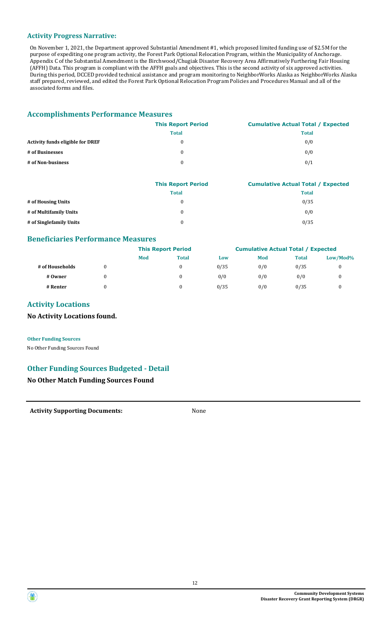### **Activity Progress Narrative:**

On November 1, 2021, the Department approved Substantial Amendment #1, which proposed limited funding use of \$2.5M for the purpose of expediting one program activity, the Forest Park Optional Relocation Program, within the Municipality of Anchorage. Appendix C of the Substantial Amendment is the Birchwood/Chugiak Disaster Recovery Area Affirmatively Furthering Fair Housing (AFFH) Data. This program is compliant with the AFFH goals and objectives. This is the second activity of six approved activities. During this period, DCCED provided technical assistance and program monitoring to NeighborWorks Alaska as NeighborWorks Alaska staff prepared, reviewed, and edited the Forest Park Optional Relocation Program Policies and Procedures Manual and all of the associated forms and files.

# **Accomplishments Performance Measures**

|                                         | <b>This Report Period</b> | <b>Cumulative Actual Total / Expected</b> |
|-----------------------------------------|---------------------------|-------------------------------------------|
|                                         | <b>Total</b>              | <b>Total</b>                              |
| <b>Activity funds eligible for DREF</b> | 0                         | 0/0                                       |
| # of Businesses                         | 0                         | 0/0                                       |
| # of Non-business                       | 0                         | 0/1                                       |

|                         | <b>This Report Period</b> | <b>Cumulative Actual Total / Expected</b> |
|-------------------------|---------------------------|-------------------------------------------|
|                         | <b>Total</b>              | <b>Total</b>                              |
| # of Housing Units      | $\theta$                  | 0/35                                      |
| # of Multifamily Units  | 0                         | 0/0                                       |
| # of Singlefamily Units | 0                         | 0/35                                      |

# **Beneficiaries Performance Measures**

|                 |   | <b>This Report Period</b> |              |      | <b>Cumulative Actual Total / Expected</b> |              |             |
|-----------------|---|---------------------------|--------------|------|-------------------------------------------|--------------|-------------|
|                 |   | Mod                       | <b>Total</b> | Low  | Mod                                       | <b>Total</b> | $Low/Mod\%$ |
| # of Households | 0 |                           | 0            | 0/35 | 0/0                                       | 0/35         | 0           |
| # Owner         | 0 |                           |              | 0/0  | 0/0                                       | 0/0          |             |
| # Renter        | 0 |                           |              | 0/35 | 0/0                                       | 0/35         |             |

# **Activity Locations**

# **No Activity Locations found.**

**Other Funding Sources** No Other Funding Sources Found

# **Other Funding Sources Budgeted - Detail**

# **No Other Match Funding Sources Found**

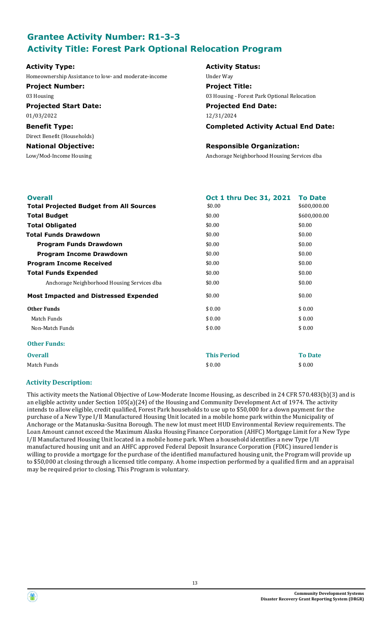# **Grantee Activity Number: R1-3-3 Activity Title: Forest Park Optional Relocation Program**

Homeownership Assistance to low- and moderate-income Under Way

**Project Number: Project Title:**

01/03/2022 12/31/2024

Direct Benefit (Households)

# **Activity Type: Activity Status:**

03 Housing 03 Housing - Forest Park Optional Relocation

**Projected Start Date: Projected End Date:**

**Benefit Type: Completed Activity Actual End Date:**

# **National Objective: Responsible Organization:**

Low/Mod-Income Housing Anchorage Neighborhood Housing Services dba

| <b>Overall</b>                                 | Oct 1 thru Dec 31, 2021 | <b>To Date</b> |
|------------------------------------------------|-------------------------|----------------|
| <b>Total Projected Budget from All Sources</b> | \$0.00                  | \$600,000.00   |
| <b>Total Budget</b>                            | \$0.00                  | \$600,000.00   |
| <b>Total Obligated</b>                         | \$0.00                  | \$0.00         |
| <b>Total Funds Drawdown</b>                    | \$0.00                  | \$0.00         |
| Program Funds Drawdown                         | \$0.00                  | \$0.00         |
| <b>Program Income Drawdown</b>                 | \$0.00                  | \$0.00         |
| <b>Program Income Received</b>                 | \$0.00                  | \$0.00         |
| <b>Total Funds Expended</b>                    | \$0.00                  | \$0.00         |
| Anchorage Neighborhood Housing Services dba    | \$0.00                  | \$0.00         |
| <b>Most Impacted and Distressed Expended</b>   | \$0.00                  | \$0.00         |
| <b>Other Funds</b>                             | \$0.00                  | \$0.00         |
| Match Funds                                    | \$0.00                  | \$0.00         |
| Non-Match Funds                                | \$0.00                  | \$0.00         |
| <b>Other Funds:</b>                            |                         |                |
| <b>Overall</b>                                 | <b>This Period</b>      | <b>To Date</b> |
| Match Funds                                    | \$0.00                  | \$0.00         |

# **Activity Description:**

This activity meets the National Objective of Low-Moderate Income Housing, as described in 24 CFR 570.483(b)(3) and is an eligible activity under Section 105(a)(24) of the Housing and Community Development Act of 1974. The activity intends to allow eligible, credit qualified, Forest Park households to use up to \$50,000 for a down payment for the purchase of a New Type I/II Manufactured Housing Unit located in a mobile home park within the Municipality of Anchorage or the Matanuska-Susitna Borough. The new lot must meet HUD Environmental Review requirements. The Loan Amount cannot exceed the Maximum Alaska Housing Finance Corporation (AHFC) Mortgage Limit for a New Type I/II Manufactured Housing Unit located in a mobile home park. When a household identifies a new Type I/II manufactured housing unit and an AHFC approved Federal Deposit Insurance Corporation (FDIC) insured lender is willing to provide a mortgage for the purchase of the identified manufactured housing unit, the Program will provide up to \$50,000 at closing through a licensed title company. A home inspection performed by a qualified firm and an appraisal may be required prior to closing. This Program is voluntary.

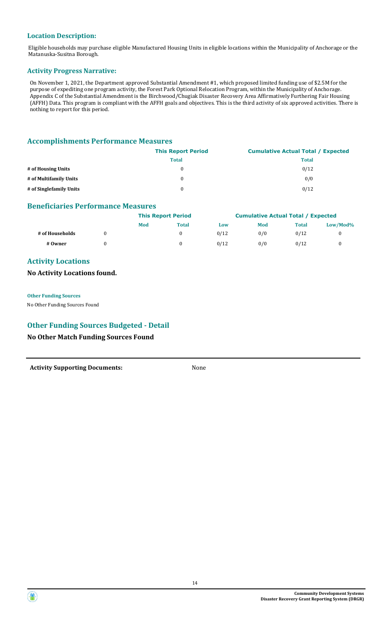# **Location Description:**

Eligible households may purchase eligible Manufactured Housing Units in eligible locations within the Municipality of Anchorage or the Matanuska-Susitna Borough.

### **Activity Progress Narrative:**

On November 1, 2021, the Department approved Substantial Amendment #1, which proposed limited funding use of \$2.5M for the purpose of expediting one program activity, the Forest Park Optional Relocation Program, within the Municipality of Anchorage. Appendix C of the Substantial Amendment is the Birchwood/Chugiak Disaster Recovery Area Affirmatively Furthering Fair Housing (AFFH) Data. This program is compliant with the AFFH goals and objectives. This is the third activity of six approved activities. There is nothing to report for this period.

# **Accomplishments Performance Measures**

|                         | <b>This Report Period</b> | <b>Cumulative Actual Total / Expected</b> |
|-------------------------|---------------------------|-------------------------------------------|
|                         | <b>Total</b>              | <b>Total</b>                              |
| # of Housing Units      | 0                         | 0/12                                      |
| # of Multifamily Units  | 0                         | 0/0                                       |
| # of Singlefamily Units | 0                         | 0/12                                      |

# **Beneficiaries Performance Measures**

|                 | <b>This Report Period</b> |              | <b>Cumulative Actual Total / Expected</b> |     |              |          |
|-----------------|---------------------------|--------------|-------------------------------------------|-----|--------------|----------|
|                 | Mod                       | <b>Total</b> | Low                                       | Mod | <b>Total</b> | Low/Mod% |
| # of Households |                           |              | 0/12                                      | 0/0 | 0/12         |          |
| # Owner         |                           |              | 0/12                                      | 0/0 | 0/12         |          |

# **Activity Locations**

# **No Activity Locations found.**

**Other Funding Sources**

No Other Funding Sources Found

# **Other Funding Sources Budgeted - Detail**

# **No Other Match Funding Sources Found**

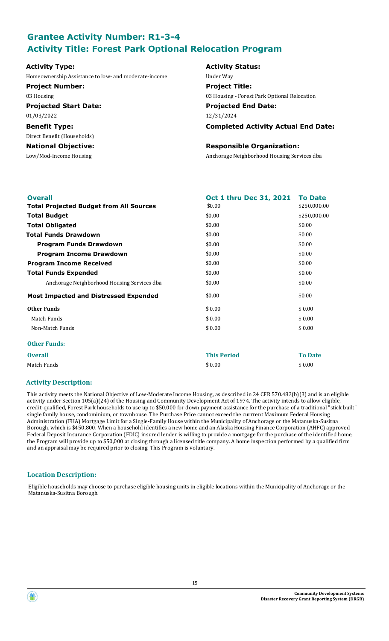# **Grantee Activity Number: R1-3-4 Activity Title: Forest Park Optional Relocation Program**

Homeownership Assistance to low- and moderate-income Under Way

**Project Number: Project Title:**

01/03/2022 12/31/2024

Direct Benefit (Households)

# **Activity Type: Activity Status:**

03 Housing 03 Housing - Forest Park Optional Relocation

**Projected Start Date: Projected End Date:**

**Benefit Type: Completed Activity Actual End Date:**

# **National Objective: Responsible Organization:**

Low/Mod-Income Housing Anchorage Neighborhood Housing Services dba

| Oct 1 thru Dec 31, 2021 | <b>To Date</b> |
|-------------------------|----------------|
| \$0.00                  | \$250,000.00   |
| \$0.00                  | \$250,000.00   |
| \$0.00                  | \$0.00         |
| \$0.00                  | \$0.00         |
| \$0.00                  | \$0.00         |
| \$0.00                  | \$0.00         |
| \$0.00                  | \$0.00         |
| \$0.00                  | \$0.00         |
| \$0.00                  | \$0.00         |
| \$0.00                  | \$0.00         |
| \$0.00                  | \$0.00         |
| \$0.00                  | \$0.00         |
| \$0.00                  | \$0.00         |
|                         |                |
| <b>This Period</b>      | <b>To Date</b> |
| \$0.00                  | \$0.00         |
|                         |                |

### **Activity Description:**

This activity meets the National Objective of Low-Moderate Income Housing, as described in 24 CFR 570.483(b)(3) and is an eligible activity under Section 105(a)(24) of the Housing and Community Development Act of 1974. The activity intends to allow eligible, credit-qualified, Forest Park households to use up to \$50,000 for down payment assistance for the purchase of a traditional "stick built" single family house, condominium, or townhouse. The Purchase Price cannot exceed the currrent Maximum Federal Housing Administration (FHA) Mortgage Limit for a Single-Family House within the Municipality of Anchorage or the Matanuska-Susitna Borough, which is \$450,800. When a household identifies a new home and an Alaska Housing Finance Corporation (AHFC) approved Federal Deposit Insurance Corporation (FDIC) insured lender is willing to provide a mortgage for the purchase of the identified home, the Program will provide up to \$50,000 at closing through a licensed title company. A home inspection performed by a qualified firm and an appraisal may be required prior to closing. This Program is voluntary.

# **Location Description:**

Eligible households may choose to purchase eligible housing units in eligible locations within the Municipality of Anchorage or the Matanuska-Susitna Borough.

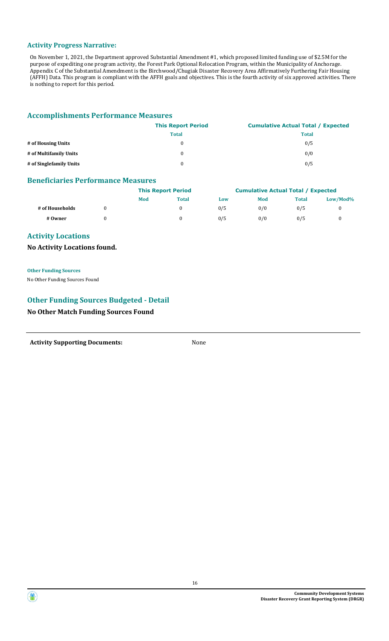### **Activity Progress Narrative:**

On November 1, 2021, the Department approved Substantial Amendment #1, which proposed limited funding use of \$2.5M for the purpose of expediting one program activity, the Forest Park Optional Relocation Program, within the Municipality of Anchorage. Appendix C of the Substantial Amendment is the Birchwood/Chugiak Disaster Recovery Area Affirmatively Furthering Fair Housing (AFFH) Data. This program is compliant with the AFFH goals and objectives. This is the fourth activity of six approved activities. There is nothing to report for this period.

# **Accomplishments Performance Measures**

|                         | <b>This Report Period</b> | <b>Cumulative Actual Total / Expected</b> |
|-------------------------|---------------------------|-------------------------------------------|
|                         | <b>Total</b>              | <b>Total</b>                              |
| # of Housing Units      | $\theta$                  | 0/5                                       |
| # of Multifamily Units  | $\theta$                  | 0/0                                       |
| # of Singlefamily Units | $\Omega$                  | 0/5                                       |

# **Beneficiaries Performance Measures**

|                 | <b>This Report Period</b> |              | <b>Cumulative Actual Total / Expected</b> |     |              |             |
|-----------------|---------------------------|--------------|-------------------------------------------|-----|--------------|-------------|
|                 | Mod                       | <b>Total</b> | Low                                       | Mod | <b>Total</b> | $Low/Mod\%$ |
| # of Households |                           |              | 0/5                                       | 0/0 | 0/5          |             |
| # Owner         |                           |              | 0/5                                       | 0/0 | 0/5          |             |

# **Activity Locations**

# **No Activity Locations found.**

**Other Funding Sources** No Other Funding Sources Found

# **Other Funding Sources Budgeted - Detail**

# **No Other Match Funding Sources Found**



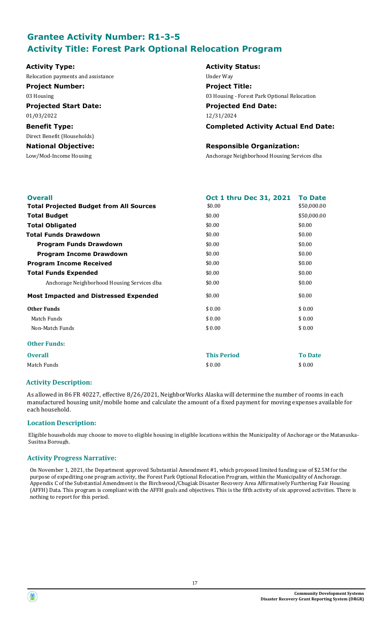# **Grantee Activity Number: R1-3-5 Activity Title: Forest Park Optional Relocation Program**

Relocation payments and assistance Under Way

**Projected Start Date: Projected End Date:** 01/03/2022 12/31/2024

Direct Benefit (Households)

# **Activity Type: Activity Status: Project Number: Project Title:** 03 Housing 03 Housing - Forest Park Optional Relocation

**Benefit Type: Completed Activity Actual End Date:**

# **National Objective: Responsible Organization:**

Low/Mod-Income Housing Anchorage Neighborhood Housing Services dba

| <b>Overall</b>                                 | <b>Oct 1 thru Dec 31, 2021</b> | <b>To Date</b> |
|------------------------------------------------|--------------------------------|----------------|
| <b>Total Projected Budget from All Sources</b> | \$0.00                         | \$50,000.00    |
| <b>Total Budget</b>                            | \$0.00                         | \$50,000.00    |
| <b>Total Obligated</b>                         | \$0.00                         | \$0.00         |
| <b>Total Funds Drawdown</b>                    | \$0.00                         | \$0.00         |
| <b>Program Funds Drawdown</b>                  | \$0.00                         | \$0.00         |
| <b>Program Income Drawdown</b>                 | \$0.00                         | \$0.00         |
| <b>Program Income Received</b>                 | \$0.00                         | \$0.00         |
| <b>Total Funds Expended</b>                    | \$0.00                         | \$0.00         |
| Anchorage Neighborhood Housing Services dba    | \$0.00                         | \$0.00         |
| <b>Most Impacted and Distressed Expended</b>   | \$0.00                         | \$0.00         |
| <b>Other Funds</b>                             | \$0.00                         | \$0.00         |
| Match Funds                                    | \$0.00                         | \$0.00         |
| Non-Match Funds                                | \$0.00                         | \$0.00         |
| <b>Other Funds:</b>                            |                                |                |
| <b>Overall</b>                                 | <b>This Period</b>             | <b>To Date</b> |
| Match Funds                                    | \$0.00                         | \$0.00         |
|                                                |                                |                |

# **Activity Description:**

As allowed in 86 FR 40227, effective 8/26/2021, NeighborWorks Alaska will determine the number of rooms in each manufactured housing unit/mobile home and calculate the amount of a fixed payment for moving expenses available for each household.

# **Location Description:**

Eligible households may choose to move to eligible housing in eligible locations within the Municipality of Anchorage or the Matanuska-Susitna Borough.

### **Activity Progress Narrative:**

On November 1, 2021, the Department approved Substantial Amendment #1, which proposed limited funding use of \$2.5M for the purpose of expediting one program activity, the Forest Park Optional Relocation Program, within the Municipality of Anchorage. Appendix C of the Substantial Amendment is the Birchwood/Chugiak Disaster Recovery Area Affirmatively Furthering Fair Housing (AFFH) Data. This program is compliant with the AFFH goals and objectives. This is the fifth activity of six approved activities. There is nothing to report for this period.



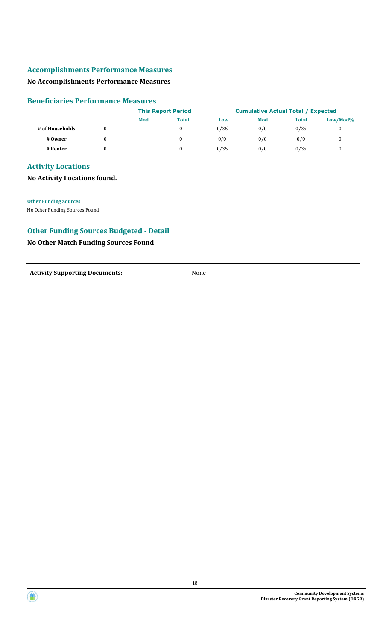# **Accomplishments Performance Measures**

# **No Accomplishments Performance Measures**

### **Beneficiaries Performance Measures**

|                 | <b>This Report Period</b> |              | <b>Cumulative Actual Total / Expected</b> |     |              |              |
|-----------------|---------------------------|--------------|-------------------------------------------|-----|--------------|--------------|
|                 | Mod                       | <b>Total</b> | Low                                       | Mod | <b>Total</b> | $Low/Mod\%$  |
| # of Households |                           | $\bf{0}$     | 0/35                                      | 0/0 | 0/35         | 0            |
| # Owner         |                           | $\bf{0}$     | 0/0                                       | 0/0 | 0/0          | 0            |
| # Renter        |                           | $\bf{0}$     | 0/35                                      | 0/0 | 0/35         | $\mathbf{0}$ |

# **Activity Locations**

# **No Activity Locations found.**

**Other Funding Sources** No Other Funding Sources Found

# **Other Funding Sources Budgeted - Detail**

# **No Other Match Funding Sources Found**

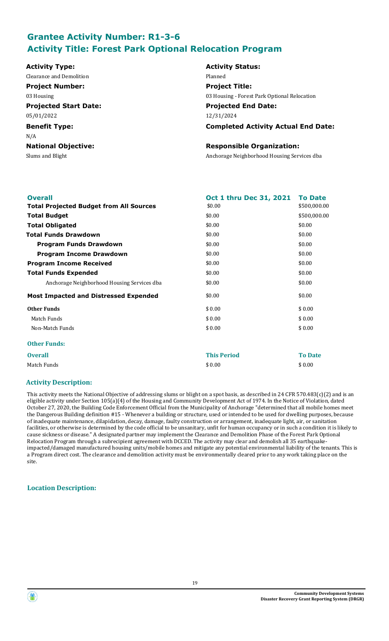# **Grantee Activity Number: R1-3-6 Activity Title: Forest Park Optional Relocation Program**

**Activity Type: Activity Status:** Clearance and Demolition **Planned Project Number: Project Title:** 03 Housing 03 Housing - Forest Park Optional Relocation **Projected Start Date: Projected End Date:** 05/01/2022 12/31/2024 **Benefit Type: Completed Activity Actual End Date:** N/A **National Objective: Responsible Organization:** Slums and Blight Anchorage Neighborhood Housing Services dba

| <b>Overall</b>                                 | Oct 1 thru Dec 31, 2021 | <b>To Date</b> |
|------------------------------------------------|-------------------------|----------------|
| <b>Total Projected Budget from All Sources</b> | \$0.00                  | \$500,000.00   |
| <b>Total Budget</b>                            | \$0.00                  | \$500,000.00   |
| <b>Total Obligated</b>                         | \$0.00                  | \$0.00         |
| <b>Total Funds Drawdown</b>                    | \$0.00                  | \$0.00         |
| <b>Program Funds Drawdown</b>                  | \$0.00                  | \$0.00         |
| <b>Program Income Drawdown</b>                 | \$0.00                  | \$0.00         |
| <b>Program Income Received</b>                 | \$0.00                  | \$0.00         |
| <b>Total Funds Expended</b>                    | \$0.00                  | \$0.00         |
| Anchorage Neighborhood Housing Services dba    | \$0.00                  | \$0.00         |
| <b>Most Impacted and Distressed Expended</b>   | \$0.00                  | \$0.00         |
| <b>Other Funds</b>                             | \$0.00                  | \$0.00         |
| Match Funds                                    | \$0.00                  | \$0.00         |
| Non-Match Funds                                | \$0.00                  | \$0.00         |
| <b>Other Funds:</b>                            |                         |                |
| <b>Overall</b>                                 | <b>This Period</b>      | <b>To Date</b> |
| Match Funds                                    | \$0.00                  | \$0.00         |

### **Activity Description:**

This activity meets the National Objective of addressing slums or blight on a spot basis, as described in 24 CFR 570.483(c)(2) and is an eligible activity under Section 105(a)(4) of the Housing and Community Development Act of 1974. In the Notice of Violation, dated October 27, 2020, the Building Code Enforcement Official from the Municipality of Anchorage "determined that all mobile homes meet the Dangerous Building definition #15 - Whenever a building or structure, used or intended to be used for dwelling purposes, because of inadequate maintenance, dilapidation, decay, damage, faulty construction or arrangement, inadequate light, air, or sanitation facilities, or otherwise is determined by the code official to be unsanitary, unfit for human occupancy or in such a condition it is likely to cause sickness or disease." A designated partner may implement the Clearance and Demolition Phase of the Forest Park Optional Relocation Program through a subrecipient agreement with DCCED. The activity may clear and demolish all 35 earthquakeimpacted/damaged manufactured housing units/mobile homes and mitigate any potential environmental liability of the tenants. This is a Program direct cost. The clearance and demolition activity must be environmentally cleared prior to any work taking place on the site.

# **Location Description:**